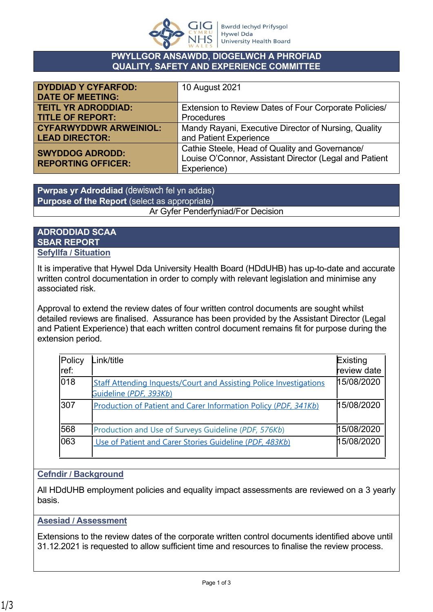

#### **PWYLLGOR ANSAWDD, DIOGELWCH A PHROFIAD QUALITY, SAFETY AND EXPERIENCE COMMITTEE**

| <b>DYDDIAD Y CYFARFOD:</b><br><b>DATE OF MEETING:</b> | 10 August 2021                                         |
|-------------------------------------------------------|--------------------------------------------------------|
| <b>TEITL YR ADRODDIAD:</b>                            | Extension to Review Dates of Four Corporate Policies/  |
| <b>TITLE OF REPORT:</b>                               | Procedures                                             |
| <b>CYFARWYDDWR ARWEINIOL:</b>                         | Mandy Rayani, Executive Director of Nursing, Quality   |
| <b>LEAD DIRECTOR:</b>                                 | and Patient Experience                                 |
| <b>SWYDDOG ADRODD:</b>                                | Cathie Steele, Head of Quality and Governance/         |
| <b>REPORTING OFFICER:</b>                             | Louise O'Connor, Assistant Director (Legal and Patient |
|                                                       | Experience)                                            |

**Pwrpas yr Adroddiad** (dewiswch fel yn addas) **Purpose of the Report** (select as appropriate)

## Ar Gyfer Penderfyniad/For Decision

## **ADRODDIAD SCAA SBAR REPORT Sefyllfa / Situation**

It is imperative that Hywel Dda University Health Board (HDdUHB) has up-to-date and accurate written control documentation in order to comply with relevant legislation and minimise any associated risk.

Approval to extend the review dates of four written control documents are sought whilst detailed reviews are finalised. Assurance has been provided by the Assistant Director (Legal and Patient Experience) that each written control document remains fit for purpose during the extension period.

| Policy<br>ref: | Link/title                                                                                          | Existing<br>review date |
|----------------|-----------------------------------------------------------------------------------------------------|-------------------------|
| 018            | <b>Staff Attending Inquests/Court and Assisting Police Investigations</b><br>Guideline (PDF, 393Kb) | 15/08/2020              |
| 307            | Production of Patient and Carer Information Policy (PDF, 341Kb)                                     | 15/08/2020              |
| 568            | Production and Use of Surveys Guideline (PDF, 576Kb)                                                | 15/08/2020              |
| 063            | Use of Patient and Carer Stories Guideline (PDF, 483Kb)                                             | 15/08/2020              |

# **Cefndir / Background**

All HDdUHB employment policies and equality impact assessments are reviewed on a 3 yearly basis.

# **Asesiad / Assessment**

Extensions to the review dates of the corporate written control documents identified above until 31.12.2021 is requested to allow sufficient time and resources to finalise the review process.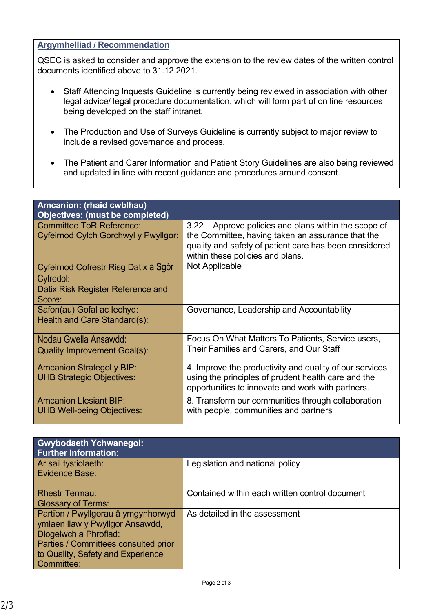## **Argymhelliad / Recommendation**

QSEC is asked to consider and approve the extension to the review dates of the written control documents identified above to 31.12.2021.

- Staff Attending Inquests Guideline is currently being reviewed in association with other legal advice/ legal procedure documentation, which will form part of on line resources being developed on the staff intranet.
- The Production and Use of Surveys Guideline is currently subject to major review to include a revised governance and process.
- The Patient and Carer Information and Patient Story Guidelines are also being reviewed and updated in line with recent guidance and procedures around consent.

| Amcanion: (rhaid cwblhau)                                               |                                                                                                                                                                     |  |  |  |
|-------------------------------------------------------------------------|---------------------------------------------------------------------------------------------------------------------------------------------------------------------|--|--|--|
| Objectives: (must be completed)                                         |                                                                                                                                                                     |  |  |  |
| <b>Committee ToR Reference:</b><br>Cyfeirnod Cylch Gorchwyl y Pwyllgor: | Approve policies and plans within the scope of<br>3.22<br>the Committee, having taken an assurance that the                                                         |  |  |  |
|                                                                         | quality and safety of patient care has been considered<br>within these policies and plans.                                                                          |  |  |  |
| Cyfeirnod Cofrestr Risg Datix a Sgôr<br>Cyfredol:                       | Not Applicable                                                                                                                                                      |  |  |  |
| Datix Risk Register Reference and<br>Score:                             |                                                                                                                                                                     |  |  |  |
| Safon(au) Gofal ac lechyd:<br>Health and Care Standard(s):              | Governance, Leadership and Accountability                                                                                                                           |  |  |  |
| Nodau Gwella Ansawdd:<br><b>Quality Improvement Goal(s):</b>            | Focus On What Matters To Patients, Service users,<br>Their Families and Carers, and Our Staff                                                                       |  |  |  |
| <b>Amcanion Strategol y BIP:</b><br><b>UHB Strategic Objectives:</b>    | 4. Improve the productivity and quality of our services<br>using the principles of prudent health care and the<br>opportunities to innovate and work with partners. |  |  |  |
| <b>Amcanion Llesiant BIP:</b><br><b>UHB Well-being Objectives:</b>      | 8. Transform our communities through collaboration<br>with people, communities and partners                                                                         |  |  |  |

| <b>Gwybodaeth Ychwanegol:</b><br><b>Further Information:</b>                                                                                                                              |                                                |
|-------------------------------------------------------------------------------------------------------------------------------------------------------------------------------------------|------------------------------------------------|
| Ar sail tystiolaeth:<br>Evidence Base:                                                                                                                                                    | Legislation and national policy                |
| <b>Rhestr Termau:</b><br><b>Glossary of Terms:</b>                                                                                                                                        | Contained within each written control document |
| Partïon / Pwyllgorau â ymgynhorwyd<br>ymlaen llaw y Pwyllgor Ansawdd,<br>Diogelwch a Phrofiad:<br>Parties / Committees consulted prior<br>to Quality, Safety and Experience<br>Committee: | As detailed in the assessment                  |